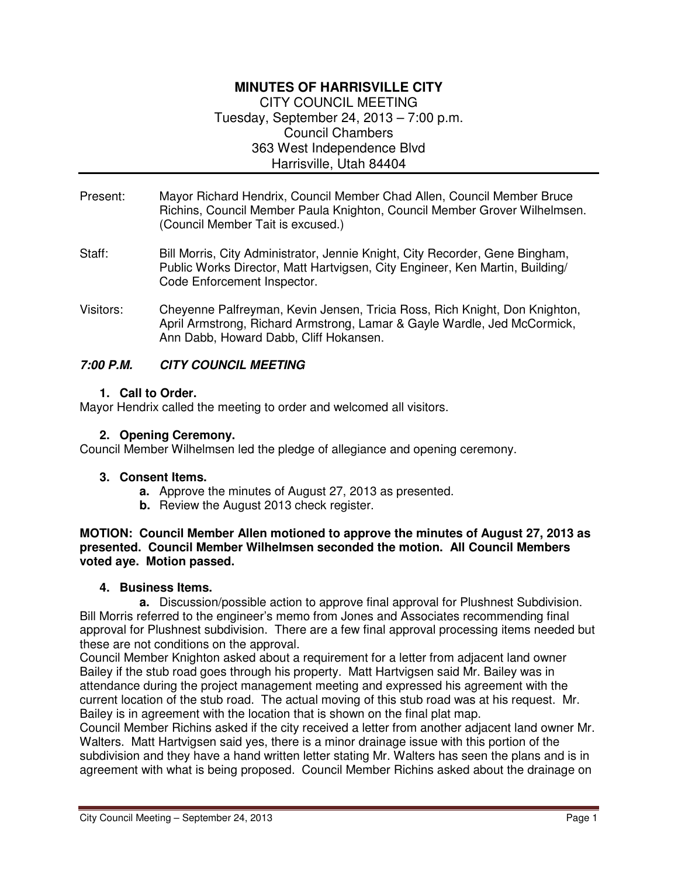# **MINUTES OF HARRISVILLE CITY**  CITY COUNCIL MEETING Tuesday, September 24, 2013 – 7:00 p.m. Council Chambers 363 West Independence Blvd Harrisville, Utah 84404

- Present: Mayor Richard Hendrix, Council Member Chad Allen, Council Member Bruce Richins, Council Member Paula Knighton, Council Member Grover Wilhelmsen. (Council Member Tait is excused.)
- Staff: Bill Morris, City Administrator, Jennie Knight, City Recorder, Gene Bingham, Public Works Director, Matt Hartvigsen, City Engineer, Ken Martin, Building/ Code Enforcement Inspector.
- Visitors: Cheyenne Palfreyman, Kevin Jensen, Tricia Ross, Rich Knight, Don Knighton, April Armstrong, Richard Armstrong, Lamar & Gayle Wardle, Jed McCormick, Ann Dabb, Howard Dabb, Cliff Hokansen.

# **7:00 P.M. CITY COUNCIL MEETING**

## **1. Call to Order.**

Mayor Hendrix called the meeting to order and welcomed all visitors.

## **2. Opening Ceremony.**

Council Member Wilhelmsen led the pledge of allegiance and opening ceremony.

## **3. Consent Items.**

- **a.** Approve the minutes of August 27, 2013 as presented.
- **b.** Review the August 2013 check register.

#### **MOTION: Council Member Allen motioned to approve the minutes of August 27, 2013 as presented. Council Member Wilhelmsen seconded the motion. All Council Members voted aye. Motion passed.**

## **4. Business Items.**

**a.** Discussion/possible action to approve final approval for Plushnest Subdivision. Bill Morris referred to the engineer's memo from Jones and Associates recommending final approval for Plushnest subdivision. There are a few final approval processing items needed but these are not conditions on the approval.

Council Member Knighton asked about a requirement for a letter from adjacent land owner Bailey if the stub road goes through his property. Matt Hartvigsen said Mr. Bailey was in attendance during the project management meeting and expressed his agreement with the current location of the stub road. The actual moving of this stub road was at his request. Mr. Bailey is in agreement with the location that is shown on the final plat map.

Council Member Richins asked if the city received a letter from another adjacent land owner Mr. Walters. Matt Hartvigsen said yes, there is a minor drainage issue with this portion of the subdivision and they have a hand written letter stating Mr. Walters has seen the plans and is in agreement with what is being proposed. Council Member Richins asked about the drainage on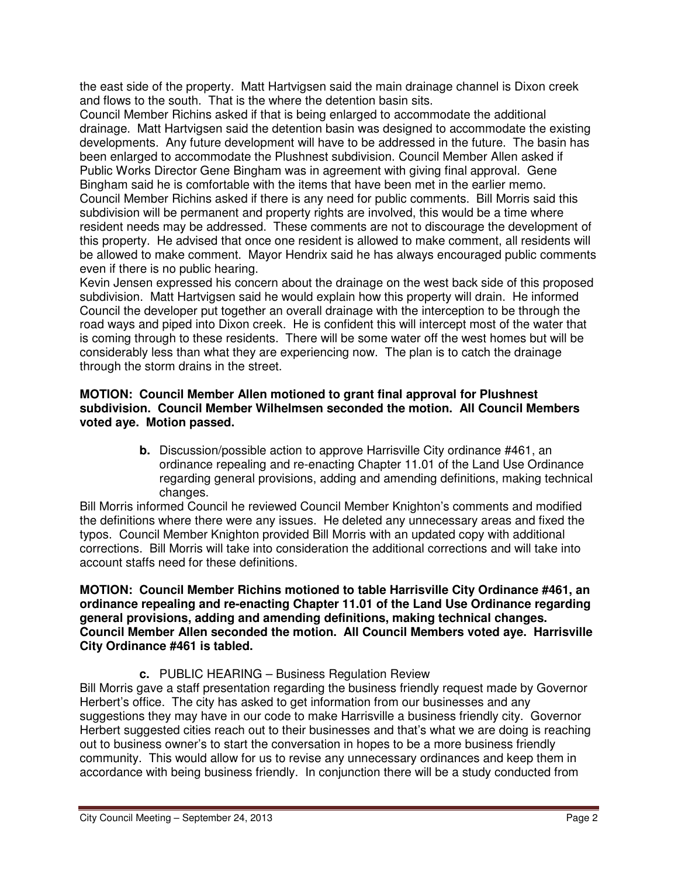the east side of the property. Matt Hartvigsen said the main drainage channel is Dixon creek and flows to the south. That is the where the detention basin sits.

Council Member Richins asked if that is being enlarged to accommodate the additional drainage. Matt Hartvigsen said the detention basin was designed to accommodate the existing developments. Any future development will have to be addressed in the future. The basin has been enlarged to accommodate the Plushnest subdivision. Council Member Allen asked if Public Works Director Gene Bingham was in agreement with giving final approval. Gene Bingham said he is comfortable with the items that have been met in the earlier memo. Council Member Richins asked if there is any need for public comments. Bill Morris said this subdivision will be permanent and property rights are involved, this would be a time where resident needs may be addressed. These comments are not to discourage the development of this property. He advised that once one resident is allowed to make comment, all residents will be allowed to make comment. Mayor Hendrix said he has always encouraged public comments even if there is no public hearing.

Kevin Jensen expressed his concern about the drainage on the west back side of this proposed subdivision. Matt Hartvigsen said he would explain how this property will drain. He informed Council the developer put together an overall drainage with the interception to be through the road ways and piped into Dixon creek. He is confident this will intercept most of the water that is coming through to these residents. There will be some water off the west homes but will be considerably less than what they are experiencing now. The plan is to catch the drainage through the storm drains in the street.

## **MOTION: Council Member Allen motioned to grant final approval for Plushnest subdivision. Council Member Wilhelmsen seconded the motion. All Council Members voted aye. Motion passed.**

**b.** Discussion/possible action to approve Harrisville City ordinance #461, an ordinance repealing and re-enacting Chapter 11.01 of the Land Use Ordinance regarding general provisions, adding and amending definitions, making technical changes.

Bill Morris informed Council he reviewed Council Member Knighton's comments and modified the definitions where there were any issues. He deleted any unnecessary areas and fixed the typos. Council Member Knighton provided Bill Morris with an updated copy with additional corrections. Bill Morris will take into consideration the additional corrections and will take into account staffs need for these definitions.

#### **MOTION: Council Member Richins motioned to table Harrisville City Ordinance #461, an ordinance repealing and re-enacting Chapter 11.01 of the Land Use Ordinance regarding general provisions, adding and amending definitions, making technical changes. Council Member Allen seconded the motion. All Council Members voted aye. Harrisville City Ordinance #461 is tabled.**

**c.** PUBLIC HEARING – Business Regulation Review

Bill Morris gave a staff presentation regarding the business friendly request made by Governor Herbert's office. The city has asked to get information from our businesses and any suggestions they may have in our code to make Harrisville a business friendly city. Governor Herbert suggested cities reach out to their businesses and that's what we are doing is reaching out to business owner's to start the conversation in hopes to be a more business friendly community. This would allow for us to revise any unnecessary ordinances and keep them in accordance with being business friendly. In conjunction there will be a study conducted from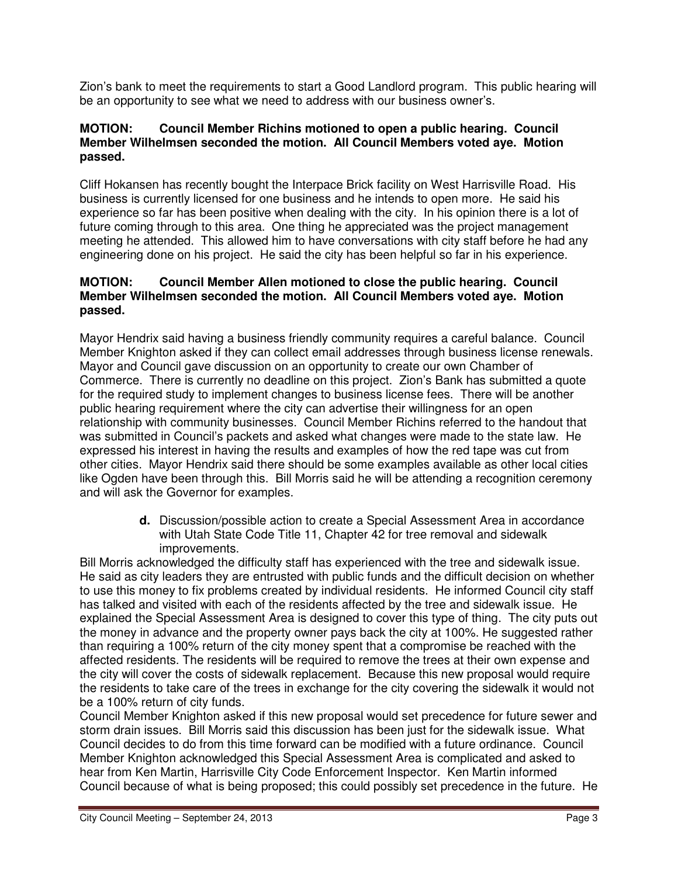Zion's bank to meet the requirements to start a Good Landlord program. This public hearing will be an opportunity to see what we need to address with our business owner's.

#### **MOTION: Council Member Richins motioned to open a public hearing. Council Member Wilhelmsen seconded the motion. All Council Members voted aye. Motion passed.**

Cliff Hokansen has recently bought the Interpace Brick facility on West Harrisville Road. His business is currently licensed for one business and he intends to open more. He said his experience so far has been positive when dealing with the city. In his opinion there is a lot of future coming through to this area. One thing he appreciated was the project management meeting he attended. This allowed him to have conversations with city staff before he had any engineering done on his project. He said the city has been helpful so far in his experience.

#### **MOTION: Council Member Allen motioned to close the public hearing. Council Member Wilhelmsen seconded the motion. All Council Members voted aye. Motion passed.**

Mayor Hendrix said having a business friendly community requires a careful balance. Council Member Knighton asked if they can collect email addresses through business license renewals. Mayor and Council gave discussion on an opportunity to create our own Chamber of Commerce. There is currently no deadline on this project. Zion's Bank has submitted a quote for the required study to implement changes to business license fees. There will be another public hearing requirement where the city can advertise their willingness for an open relationship with community businesses. Council Member Richins referred to the handout that was submitted in Council's packets and asked what changes were made to the state law. He expressed his interest in having the results and examples of how the red tape was cut from other cities. Mayor Hendrix said there should be some examples available as other local cities like Ogden have been through this. Bill Morris said he will be attending a recognition ceremony and will ask the Governor for examples.

> **d.** Discussion/possible action to create a Special Assessment Area in accordance with Utah State Code Title 11, Chapter 42 for tree removal and sidewalk improvements.

Bill Morris acknowledged the difficulty staff has experienced with the tree and sidewalk issue. He said as city leaders they are entrusted with public funds and the difficult decision on whether to use this money to fix problems created by individual residents. He informed Council city staff has talked and visited with each of the residents affected by the tree and sidewalk issue. He explained the Special Assessment Area is designed to cover this type of thing. The city puts out the money in advance and the property owner pays back the city at 100%. He suggested rather than requiring a 100% return of the city money spent that a compromise be reached with the affected residents. The residents will be required to remove the trees at their own expense and the city will cover the costs of sidewalk replacement. Because this new proposal would require the residents to take care of the trees in exchange for the city covering the sidewalk it would not be a 100% return of city funds.

Council Member Knighton asked if this new proposal would set precedence for future sewer and storm drain issues. Bill Morris said this discussion has been just for the sidewalk issue. What Council decides to do from this time forward can be modified with a future ordinance. Council Member Knighton acknowledged this Special Assessment Area is complicated and asked to hear from Ken Martin, Harrisville City Code Enforcement Inspector. Ken Martin informed Council because of what is being proposed; this could possibly set precedence in the future. He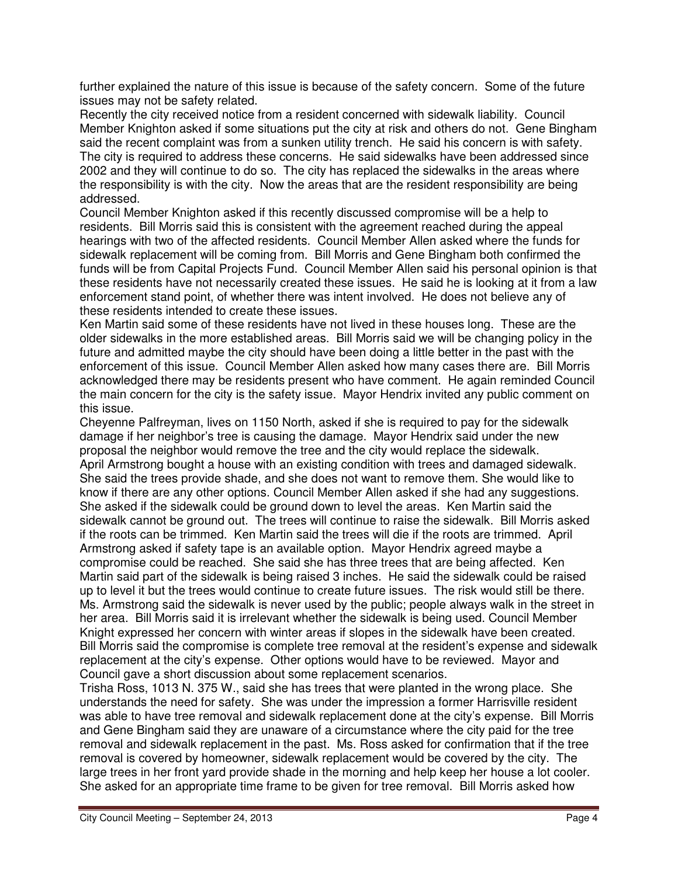further explained the nature of this issue is because of the safety concern. Some of the future issues may not be safety related.

Recently the city received notice from a resident concerned with sidewalk liability. Council Member Knighton asked if some situations put the city at risk and others do not. Gene Bingham said the recent complaint was from a sunken utility trench. He said his concern is with safety. The city is required to address these concerns. He said sidewalks have been addressed since 2002 and they will continue to do so. The city has replaced the sidewalks in the areas where the responsibility is with the city. Now the areas that are the resident responsibility are being addressed.

Council Member Knighton asked if this recently discussed compromise will be a help to residents. Bill Morris said this is consistent with the agreement reached during the appeal hearings with two of the affected residents. Council Member Allen asked where the funds for sidewalk replacement will be coming from. Bill Morris and Gene Bingham both confirmed the funds will be from Capital Projects Fund. Council Member Allen said his personal opinion is that these residents have not necessarily created these issues. He said he is looking at it from a law enforcement stand point, of whether there was intent involved. He does not believe any of these residents intended to create these issues.

Ken Martin said some of these residents have not lived in these houses long. These are the older sidewalks in the more established areas. Bill Morris said we will be changing policy in the future and admitted maybe the city should have been doing a little better in the past with the enforcement of this issue. Council Member Allen asked how many cases there are. Bill Morris acknowledged there may be residents present who have comment. He again reminded Council the main concern for the city is the safety issue. Mayor Hendrix invited any public comment on this issue.

Cheyenne Palfreyman, lives on 1150 North, asked if she is required to pay for the sidewalk damage if her neighbor's tree is causing the damage. Mayor Hendrix said under the new proposal the neighbor would remove the tree and the city would replace the sidewalk. April Armstrong bought a house with an existing condition with trees and damaged sidewalk. She said the trees provide shade, and she does not want to remove them. She would like to know if there are any other options. Council Member Allen asked if she had any suggestions. She asked if the sidewalk could be ground down to level the areas. Ken Martin said the sidewalk cannot be ground out. The trees will continue to raise the sidewalk. Bill Morris asked if the roots can be trimmed. Ken Martin said the trees will die if the roots are trimmed. April Armstrong asked if safety tape is an available option. Mayor Hendrix agreed maybe a compromise could be reached. She said she has three trees that are being affected. Ken Martin said part of the sidewalk is being raised 3 inches. He said the sidewalk could be raised up to level it but the trees would continue to create future issues. The risk would still be there. Ms. Armstrong said the sidewalk is never used by the public; people always walk in the street in her area. Bill Morris said it is irrelevant whether the sidewalk is being used. Council Member Knight expressed her concern with winter areas if slopes in the sidewalk have been created. Bill Morris said the compromise is complete tree removal at the resident's expense and sidewalk replacement at the city's expense. Other options would have to be reviewed. Mayor and Council gave a short discussion about some replacement scenarios.

Trisha Ross, 1013 N. 375 W., said she has trees that were planted in the wrong place. She understands the need for safety. She was under the impression a former Harrisville resident was able to have tree removal and sidewalk replacement done at the city's expense. Bill Morris and Gene Bingham said they are unaware of a circumstance where the city paid for the tree removal and sidewalk replacement in the past. Ms. Ross asked for confirmation that if the tree removal is covered by homeowner, sidewalk replacement would be covered by the city. The large trees in her front yard provide shade in the morning and help keep her house a lot cooler. She asked for an appropriate time frame to be given for tree removal. Bill Morris asked how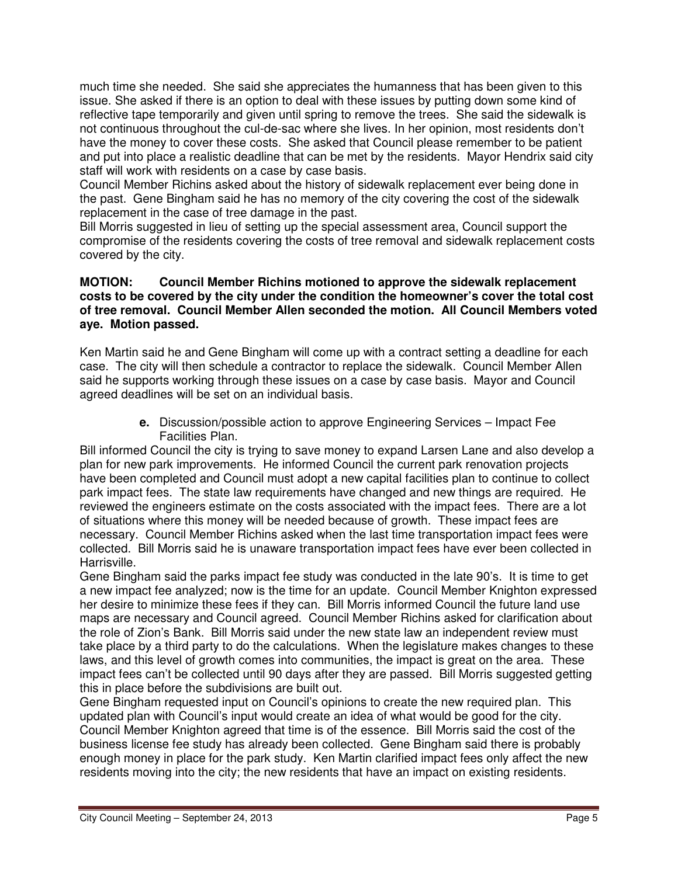much time she needed. She said she appreciates the humanness that has been given to this issue. She asked if there is an option to deal with these issues by putting down some kind of reflective tape temporarily and given until spring to remove the trees. She said the sidewalk is not continuous throughout the cul-de-sac where she lives. In her opinion, most residents don't have the money to cover these costs. She asked that Council please remember to be patient and put into place a realistic deadline that can be met by the residents. Mayor Hendrix said city staff will work with residents on a case by case basis.

Council Member Richins asked about the history of sidewalk replacement ever being done in the past. Gene Bingham said he has no memory of the city covering the cost of the sidewalk replacement in the case of tree damage in the past.

Bill Morris suggested in lieu of setting up the special assessment area, Council support the compromise of the residents covering the costs of tree removal and sidewalk replacement costs covered by the city.

#### **MOTION: Council Member Richins motioned to approve the sidewalk replacement costs to be covered by the city under the condition the homeowner's cover the total cost of tree removal. Council Member Allen seconded the motion. All Council Members voted aye. Motion passed.**

Ken Martin said he and Gene Bingham will come up with a contract setting a deadline for each case. The city will then schedule a contractor to replace the sidewalk. Council Member Allen said he supports working through these issues on a case by case basis. Mayor and Council agreed deadlines will be set on an individual basis.

> **e.** Discussion/possible action to approve Engineering Services – Impact Fee Facilities Plan.

Bill informed Council the city is trying to save money to expand Larsen Lane and also develop a plan for new park improvements. He informed Council the current park renovation projects have been completed and Council must adopt a new capital facilities plan to continue to collect park impact fees. The state law requirements have changed and new things are required. He reviewed the engineers estimate on the costs associated with the impact fees. There are a lot of situations where this money will be needed because of growth. These impact fees are necessary. Council Member Richins asked when the last time transportation impact fees were collected. Bill Morris said he is unaware transportation impact fees have ever been collected in Harrisville.

Gene Bingham said the parks impact fee study was conducted in the late 90's. It is time to get a new impact fee analyzed; now is the time for an update. Council Member Knighton expressed her desire to minimize these fees if they can. Bill Morris informed Council the future land use maps are necessary and Council agreed. Council Member Richins asked for clarification about the role of Zion's Bank. Bill Morris said under the new state law an independent review must take place by a third party to do the calculations. When the legislature makes changes to these laws, and this level of growth comes into communities, the impact is great on the area. These impact fees can't be collected until 90 days after they are passed. Bill Morris suggested getting this in place before the subdivisions are built out.

Gene Bingham requested input on Council's opinions to create the new required plan. This updated plan with Council's input would create an idea of what would be good for the city. Council Member Knighton agreed that time is of the essence. Bill Morris said the cost of the business license fee study has already been collected. Gene Bingham said there is probably enough money in place for the park study. Ken Martin clarified impact fees only affect the new residents moving into the city; the new residents that have an impact on existing residents.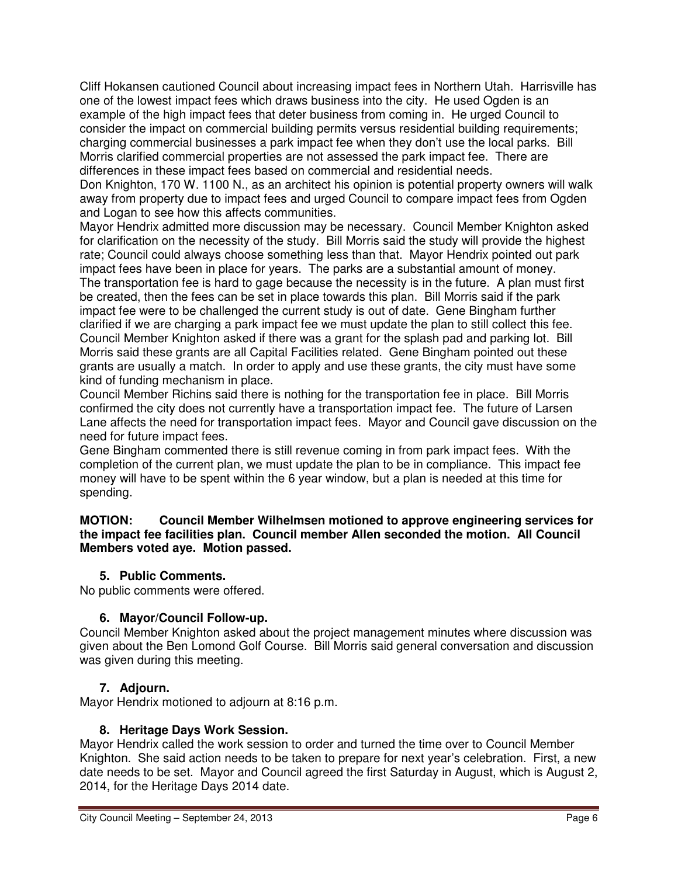Cliff Hokansen cautioned Council about increasing impact fees in Northern Utah. Harrisville has one of the lowest impact fees which draws business into the city. He used Ogden is an example of the high impact fees that deter business from coming in. He urged Council to consider the impact on commercial building permits versus residential building requirements; charging commercial businesses a park impact fee when they don't use the local parks. Bill Morris clarified commercial properties are not assessed the park impact fee. There are differences in these impact fees based on commercial and residential needs.

Don Knighton, 170 W. 1100 N., as an architect his opinion is potential property owners will walk away from property due to impact fees and urged Council to compare impact fees from Ogden and Logan to see how this affects communities.

Mayor Hendrix admitted more discussion may be necessary. Council Member Knighton asked for clarification on the necessity of the study. Bill Morris said the study will provide the highest rate; Council could always choose something less than that. Mayor Hendrix pointed out park impact fees have been in place for years. The parks are a substantial amount of money. The transportation fee is hard to gage because the necessity is in the future. A plan must first be created, then the fees can be set in place towards this plan. Bill Morris said if the park impact fee were to be challenged the current study is out of date. Gene Bingham further clarified if we are charging a park impact fee we must update the plan to still collect this fee. Council Member Knighton asked if there was a grant for the splash pad and parking lot. Bill Morris said these grants are all Capital Facilities related. Gene Bingham pointed out these grants are usually a match. In order to apply and use these grants, the city must have some kind of funding mechanism in place.

Council Member Richins said there is nothing for the transportation fee in place. Bill Morris confirmed the city does not currently have a transportation impact fee. The future of Larsen Lane affects the need for transportation impact fees. Mayor and Council gave discussion on the need for future impact fees.

Gene Bingham commented there is still revenue coming in from park impact fees. With the completion of the current plan, we must update the plan to be in compliance. This impact fee money will have to be spent within the 6 year window, but a plan is needed at this time for spending.

#### **MOTION: Council Member Wilhelmsen motioned to approve engineering services for the impact fee facilities plan. Council member Allen seconded the motion. All Council Members voted aye. Motion passed.**

# **5. Public Comments.**

No public comments were offered.

# **6. Mayor/Council Follow-up.**

Council Member Knighton asked about the project management minutes where discussion was given about the Ben Lomond Golf Course. Bill Morris said general conversation and discussion was given during this meeting.

# **7. Adjourn.**

Mayor Hendrix motioned to adjourn at 8:16 p.m.

## **8. Heritage Days Work Session.**

Mayor Hendrix called the work session to order and turned the time over to Council Member Knighton. She said action needs to be taken to prepare for next year's celebration. First, a new date needs to be set. Mayor and Council agreed the first Saturday in August, which is August 2, 2014, for the Heritage Days 2014 date.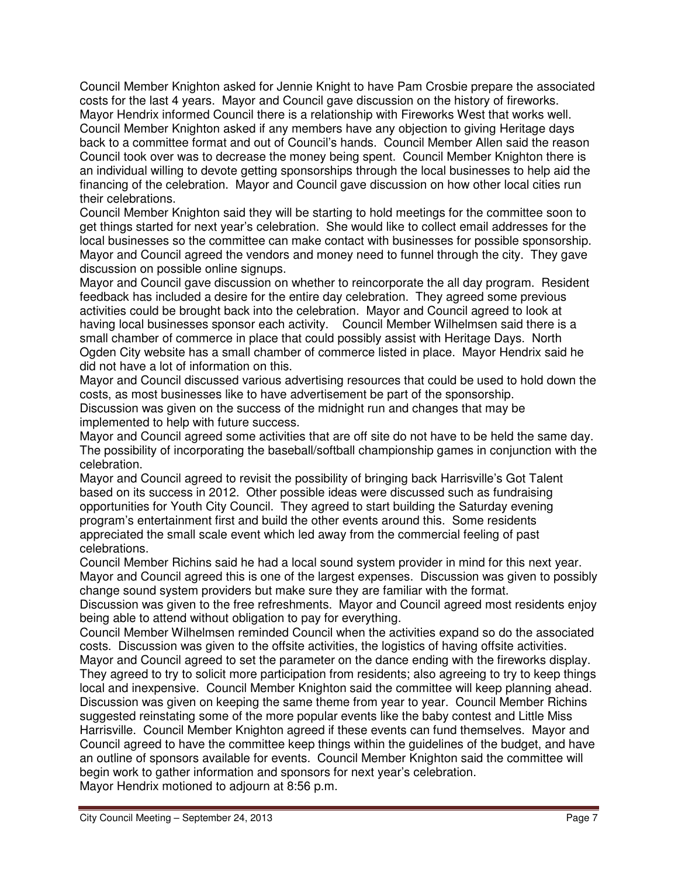Council Member Knighton asked for Jennie Knight to have Pam Crosbie prepare the associated costs for the last 4 years. Mayor and Council gave discussion on the history of fireworks. Mayor Hendrix informed Council there is a relationship with Fireworks West that works well. Council Member Knighton asked if any members have any objection to giving Heritage days back to a committee format and out of Council's hands. Council Member Allen said the reason Council took over was to decrease the money being spent. Council Member Knighton there is an individual willing to devote getting sponsorships through the local businesses to help aid the financing of the celebration. Mayor and Council gave discussion on how other local cities run their celebrations.

Council Member Knighton said they will be starting to hold meetings for the committee soon to get things started for next year's celebration. She would like to collect email addresses for the local businesses so the committee can make contact with businesses for possible sponsorship. Mayor and Council agreed the vendors and money need to funnel through the city. They gave discussion on possible online signups.

Mayor and Council gave discussion on whether to reincorporate the all day program. Resident feedback has included a desire for the entire day celebration. They agreed some previous activities could be brought back into the celebration. Mayor and Council agreed to look at having local businesses sponsor each activity. Council Member Wilhelmsen said there is a small chamber of commerce in place that could possibly assist with Heritage Days. North Ogden City website has a small chamber of commerce listed in place. Mayor Hendrix said he did not have a lot of information on this.

Mayor and Council discussed various advertising resources that could be used to hold down the costs, as most businesses like to have advertisement be part of the sponsorship. Discussion was given on the success of the midnight run and changes that may be implemented to help with future success.

Mayor and Council agreed some activities that are off site do not have to be held the same day. The possibility of incorporating the baseball/softball championship games in conjunction with the celebration.

Mayor and Council agreed to revisit the possibility of bringing back Harrisville's Got Talent based on its success in 2012. Other possible ideas were discussed such as fundraising opportunities for Youth City Council. They agreed to start building the Saturday evening program's entertainment first and build the other events around this. Some residents appreciated the small scale event which led away from the commercial feeling of past celebrations.

Council Member Richins said he had a local sound system provider in mind for this next year. Mayor and Council agreed this is one of the largest expenses. Discussion was given to possibly change sound system providers but make sure they are familiar with the format.

Discussion was given to the free refreshments. Mayor and Council agreed most residents enjoy being able to attend without obligation to pay for everything.

Council Member Wilhelmsen reminded Council when the activities expand so do the associated costs. Discussion was given to the offsite activities, the logistics of having offsite activities. Mayor and Council agreed to set the parameter on the dance ending with the fireworks display. They agreed to try to solicit more participation from residents; also agreeing to try to keep things local and inexpensive. Council Member Knighton said the committee will keep planning ahead.

Discussion was given on keeping the same theme from year to year. Council Member Richins suggested reinstating some of the more popular events like the baby contest and Little Miss Harrisville. Council Member Knighton agreed if these events can fund themselves. Mayor and Council agreed to have the committee keep things within the guidelines of the budget, and have an outline of sponsors available for events. Council Member Knighton said the committee will begin work to gather information and sponsors for next year's celebration.

Mayor Hendrix motioned to adjourn at 8:56 p.m.